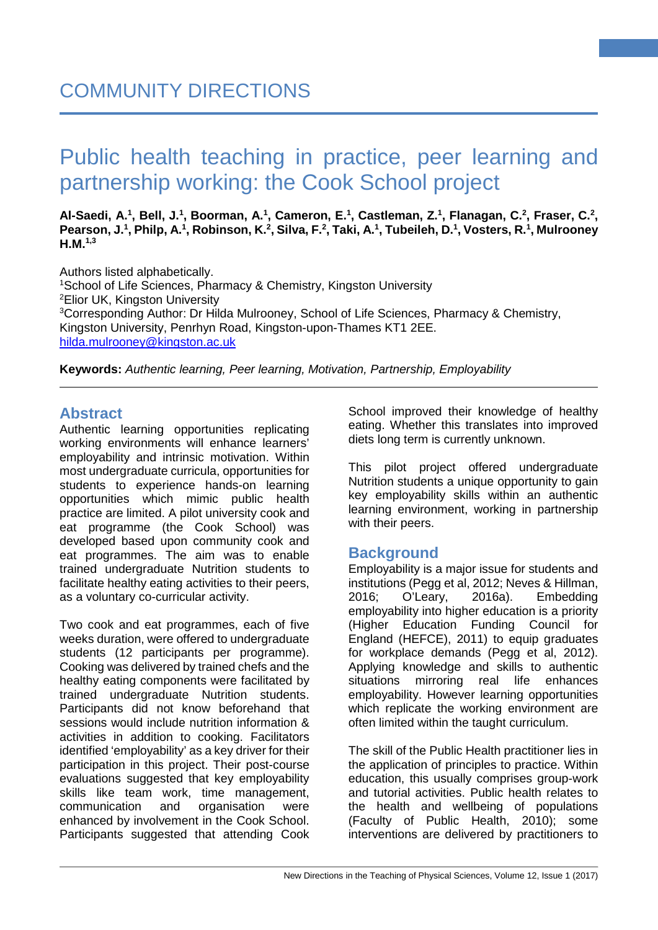#### Al-Saedi, A.<sup>1</sup>, Bell, J.<sup>1</sup>, Boorman, A.<sup>1</sup>, Cameron, E.<sup>1</sup>, Castleman, Z.<sup>1</sup>, Flanagan, C.<sup>2</sup>, Fraser, C.<sup>2</sup>, Pearson, J.<sup>1</sup>, Philp, A.<sup>1</sup>, Robinson, K.<sup>2</sup>, Silva, F.<sup>2</sup>, Taki, A.<sup>1</sup>, Tubeileh, D.<sup>1</sup>, Vosters, R.<sup>1</sup>, Mulrooney **H.M. 1,3**

Authors listed alphabetically. 1 School of Life Sciences, Pharmacy & Chemistry, Kingston University 2 Elior UK, Kingston University 3 Corresponding Author: Dr Hilda Mulrooney, School of Life Sciences, Pharmacy & Chemistry, Kingston University, Penrhyn Road, Kingston-upon-Thames KT1 2EE. [hilda.mulrooney@kingston.ac.uk](mailto:hilda.mulrooney@kingston.ac.uk)

**Keywords:** *Authentic learning, Peer learning, Motivation, Partnership, Employability*

# **Abstract**

Authentic learning opportunities replicating working environments will enhance learners' employability and intrinsic motivation. Within most undergraduate curricula, opportunities for students to experience hands-on learning opportunities which mimic public health practice are limited. A pilot university cook and eat programme (the Cook School) was developed based upon community cook and eat programmes. The aim was to enable trained undergraduate Nutrition students to facilitate healthy eating activities to their peers, as a voluntary co-curricular activity.

Two cook and eat programmes, each of five weeks duration, were offered to undergraduate students (12 participants per programme). Cooking was delivered by trained chefs and the healthy eating components were facilitated by trained undergraduate Nutrition students. Participants did not know beforehand that sessions would include nutrition information & activities in addition to cooking. Facilitators identified 'employability' as a key driver for their participation in this project. Their post-course evaluations suggested that key employability skills like team work, time management, communication and organisation were enhanced by involvement in the Cook School. Participants suggested that attending Cook School improved their knowledge of healthy eating. Whether this translates into improved diets long term is currently unknown.

**1**

This pilot project offered undergraduate Nutrition students a unique opportunity to gain key employability skills within an authentic learning environment, working in partnership with their peers.

# **Background**

Employability is a major issue for students and institutions (Pegg et al, 2012; Neves & Hillman, 2016; O'Leary, 2016a). Embedding employability into higher education is a priority (Higher Education Funding Council for England (HEFCE), 2011) to equip graduates for workplace demands (Pegg et al, 2012). Applying knowledge and skills to authentic situations mirroring real life enhances employability. However learning opportunities which replicate the working environment are often limited within the taught curriculum.

The skill of the Public Health practitioner lies in the application of principles to practice. Within education, this usually comprises group-work and tutorial activities. Public health relates to the health and wellbeing of populations (Faculty of Public Health, 2010); some interventions are delivered by practitioners to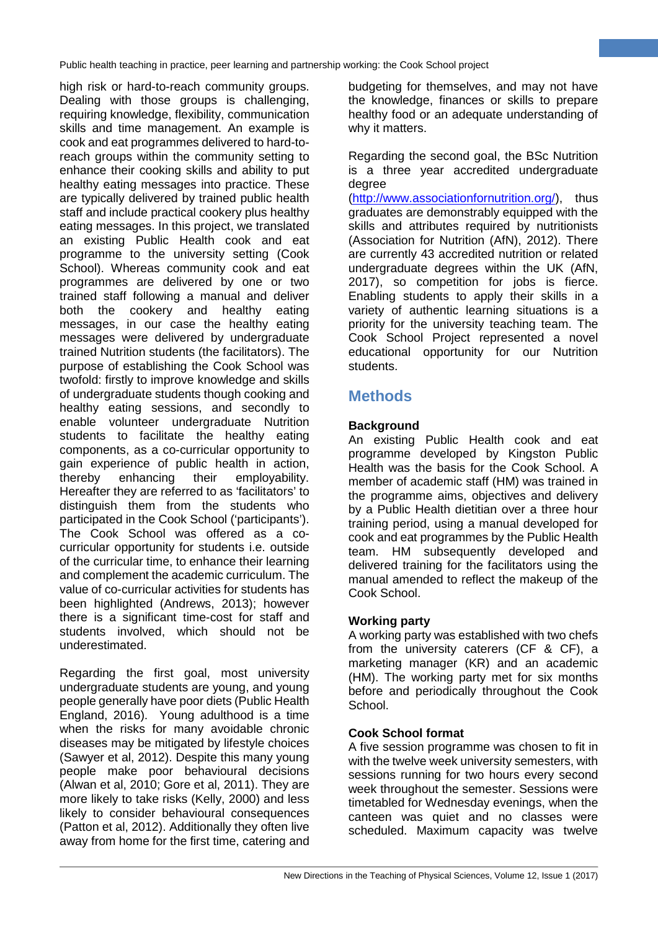high risk or hard-to-reach community groups. Dealing with those groups is challenging, requiring knowledge, flexibility, communication skills and time management. An example is cook and eat programmes delivered to hard-toreach groups within the community setting to enhance their cooking skills and ability to put healthy eating messages into practice. These are typically delivered by trained public health staff and include practical cookery plus healthy eating messages. In this project, we translated an existing Public Health cook and eat programme to the university setting (Cook School). Whereas community cook and eat programmes are delivered by one or two trained staff following a manual and deliver both the cookery and healthy eating messages, in our case the healthy eating messages were delivered by undergraduate trained Nutrition students (the facilitators). The purpose of establishing the Cook School was twofold: firstly to improve knowledge and skills of undergraduate students though cooking and healthy eating sessions, and secondly to enable volunteer undergraduate Nutrition students to facilitate the healthy eating components, as a co-curricular opportunity to gain experience of public health in action, thereby enhancing their employability. Hereafter they are referred to as 'facilitators' to distinguish them from the students who participated in the Cook School ('participants'). The Cook School was offered as a cocurricular opportunity for students i.e. outside of the curricular time, to enhance their learning and complement the academic curriculum. The value of co-curricular activities for students has been highlighted (Andrews, 2013); however there is a significant time-cost for staff and students involved, which should not be underestimated.

Regarding the first goal, most university undergraduate students are young, and young people generally have poor diets (Public Health England, 2016). Young adulthood is a time when the risks for many avoidable chronic diseases may be mitigated by lifestyle choices (Sawyer et al, 2012). Despite this many young people make poor behavioural decisions (Alwan et al, 2010; Gore et al, 2011). They are more likely to take risks (Kelly, 2000) and less likely to consider behavioural consequences (Patton et al, 2012). Additionally they often live away from home for the first time, catering and

budgeting for themselves, and may not have the knowledge, finances or skills to prepare healthy food or an adequate understanding of why it matters.

**2**

Regarding the second goal, the BSc Nutrition is a three year accredited undergraduate degree

[\(http://www.associationfornutrition.org/\)](http://www.associationfornutrition.org/), thus graduates are demonstrably equipped with the skills and attributes required by nutritionists (Association for Nutrition (AfN), 2012). There are currently 43 accredited nutrition or related undergraduate degrees within the UK (AfN, 2017), so competition for jobs is fierce. Enabling students to apply their skills in a variety of authentic learning situations is a priority for the university teaching team. The Cook School Project represented a novel educational opportunity for our Nutrition students.

# **Methods**

# **Background**

An existing Public Health cook and eat programme developed by Kingston Public Health was the basis for the Cook School. A member of academic staff (HM) was trained in the programme aims, objectives and delivery by a Public Health dietitian over a three hour training period, using a manual developed for cook and eat programmes by the Public Health team. HM subsequently developed and delivered training for the facilitators using the manual amended to reflect the makeup of the Cook School.

# **Working party**

A working party was established with two chefs from the university caterers (CF & CF), a marketing manager (KR) and an academic (HM). The working party met for six months before and periodically throughout the Cook School.

# **Cook School format**

A five session programme was chosen to fit in with the twelve week university semesters, with sessions running for two hours every second week throughout the semester. Sessions were timetabled for Wednesday evenings, when the canteen was quiet and no classes were scheduled. Maximum capacity was twelve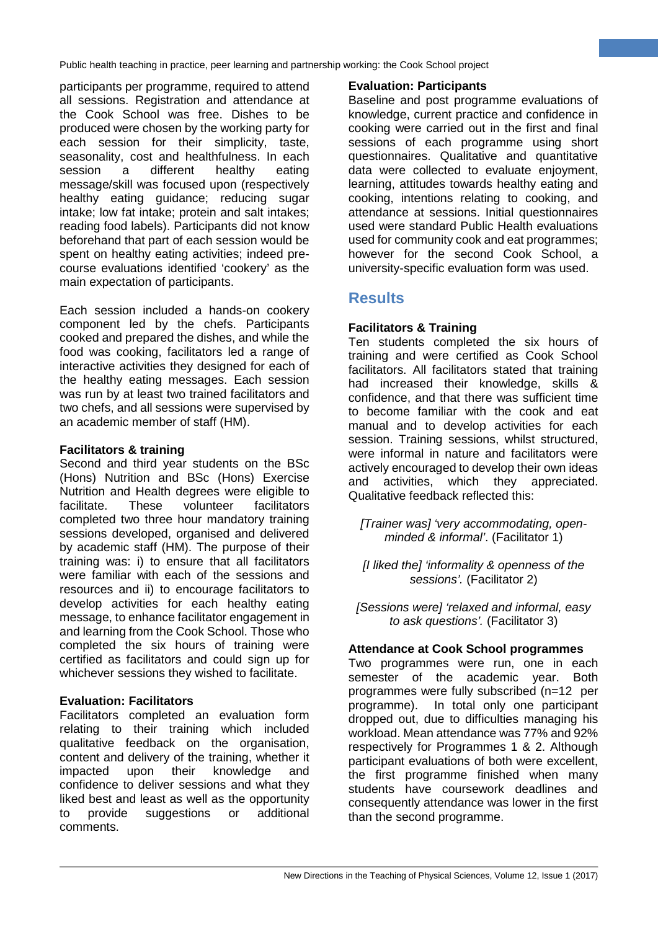participants per programme, required to attend all sessions. Registration and attendance at the Cook School was free. Dishes to be produced were chosen by the working party for each session for their simplicity, taste, seasonality, cost and healthfulness. In each session a different healthy eating message/skill was focused upon (respectively healthy eating guidance; reducing sugar intake; low fat intake; protein and salt intakes; reading food labels). Participants did not know beforehand that part of each session would be spent on healthy eating activities; indeed precourse evaluations identified 'cookery' as the main expectation of participants.

Each session included a hands-on cookery component led by the chefs. Participants cooked and prepared the dishes, and while the food was cooking, facilitators led a range of interactive activities they designed for each of the healthy eating messages. Each session was run by at least two trained facilitators and two chefs, and all sessions were supervised by an academic member of staff (HM).

# **Facilitators & training**

Second and third year students on the BSc (Hons) Nutrition and BSc (Hons) Exercise Nutrition and Health degrees were eligible to facilitate. These volunteer facilitators completed two three hour mandatory training sessions developed, organised and delivered by academic staff (HM). The purpose of their training was: i) to ensure that all facilitators were familiar with each of the sessions and resources and ii) to encourage facilitators to develop activities for each healthy eating message, to enhance facilitator engagement in and learning from the Cook School. Those who completed the six hours of training were certified as facilitators and could sign up for whichever sessions they wished to facilitate.

# **Evaluation: Facilitators**

Facilitators completed an evaluation form relating to their training which included qualitative feedback on the organisation, content and delivery of the training, whether it impacted upon their knowledge and confidence to deliver sessions and what they liked best and least as well as the opportunity to provide suggestions or additional comments.

### **Evaluation: Participants**

Baseline and post programme evaluations of knowledge, current practice and confidence in cooking were carried out in the first and final sessions of each programme using short questionnaires. Qualitative and quantitative data were collected to evaluate enjoyment, learning, attitudes towards healthy eating and cooking, intentions relating to cooking, and attendance at sessions. Initial questionnaires used were standard Public Health evaluations used for community cook and eat programmes; however for the second Cook School, a university-specific evaluation form was used.

**3**

# **Results**

#### **Facilitators & Training**

Ten students completed the six hours of training and were certified as Cook School facilitators. All facilitators stated that training had increased their knowledge, skills & confidence, and that there was sufficient time to become familiar with the cook and eat manual and to develop activities for each session. Training sessions, whilst structured, were informal in nature and facilitators were actively encouraged to develop their own ideas and activities, which they appreciated. Qualitative feedback reflected this:

*[Trainer was] 'very accommodating, openminded & informal'*. (Facilitator 1)

*[I liked the] 'informality & openness of the sessions'.* (Facilitator 2)

*[Sessions were] 'relaxed and informal, easy to ask questions'.* (Facilitator 3)

#### **Attendance at Cook School programmes**

Two programmes were run, one in each semester of the academic year. Both programmes were fully subscribed (n=12 per programme). In total only one participant dropped out, due to difficulties managing his workload. Mean attendance was 77% and 92% respectively for Programmes 1 & 2. Although participant evaluations of both were excellent, the first programme finished when many students have coursework deadlines and consequently attendance was lower in the first than the second programme.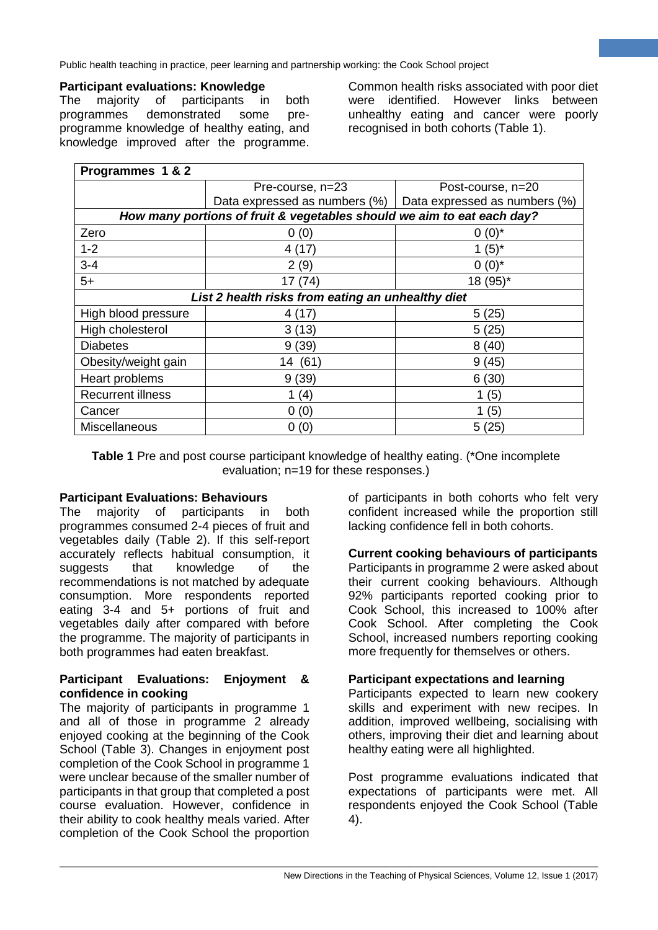#### **Participant evaluations: Knowledge**

The majority of participants in both<br>programmes demonstrated some preprogrammes demonstrated some preprogramme knowledge of healthy eating, and knowledge improved after the programme. Common health risks associated with poor diet were identified. However links between unhealthy eating and cancer were poorly recognised in both cohorts (Table 1).

**4**

| Programmes 1 & 2                                                       |                               |                               |  |  |  |
|------------------------------------------------------------------------|-------------------------------|-------------------------------|--|--|--|
|                                                                        | Pre-course, n=23              | Post-course, n=20             |  |  |  |
|                                                                        | Data expressed as numbers (%) | Data expressed as numbers (%) |  |  |  |
| How many portions of fruit & vegetables should we aim to eat each day? |                               |                               |  |  |  |
| Zero                                                                   | 0(0)                          | $0(0)^*$                      |  |  |  |
| $1 - 2$                                                                | 4 (17)                        | $1(5)^{*}$                    |  |  |  |
| $3 - 4$                                                                | 2(9)                          | $0(0)^*$                      |  |  |  |
| $5+$                                                                   | 17(74)                        | 18 (95)*                      |  |  |  |
| List 2 health risks from eating an unhealthy diet                      |                               |                               |  |  |  |
| High blood pressure                                                    | 4(17)                         | 5(25)                         |  |  |  |
| High cholesterol                                                       | 3(13)                         | 5(25)                         |  |  |  |
| <b>Diabetes</b>                                                        | 9(39)                         | 8(40)                         |  |  |  |
| Obesity/weight gain                                                    | 14 (61)                       | 9(45)                         |  |  |  |
| Heart problems                                                         | 9(39)                         | 6(30)                         |  |  |  |
| <b>Recurrent illness</b>                                               | (4)                           | 1(5)                          |  |  |  |
| Cancer                                                                 | 0(0)                          | 1 $(5)$                       |  |  |  |
| <b>Miscellaneous</b>                                                   | (0)<br>0                      | 5(25)                         |  |  |  |

**Table 1** Pre and post course participant knowledge of healthy eating. (\*One incomplete evaluation; n=19 for these responses.)

#### **Participant Evaluations: Behaviours**

The majority of participants in both programmes consumed 2-4 pieces of fruit and vegetables daily (Table 2). If this self-report accurately reflects habitual consumption, it suggests that knowledge of the recommendations is not matched by adequate consumption. More respondents reported eating 3-4 and 5+ portions of fruit and vegetables daily after compared with before the programme. The majority of participants in both programmes had eaten breakfast.

#### **Participant Evaluations: Enjoyment & confidence in cooking**

The majority of participants in programme 1 and all of those in programme 2 already enjoyed cooking at the beginning of the Cook School (Table 3). Changes in enjoyment post completion of the Cook School in programme 1 were unclear because of the smaller number of participants in that group that completed a post course evaluation. However, confidence in their ability to cook healthy meals varied. After completion of the Cook School the proportion of participants in both cohorts who felt very confident increased while the proportion still lacking confidence fell in both cohorts.

#### **Current cooking behaviours of participants** Participants in programme 2 were asked about their current cooking behaviours. Although 92% participants reported cooking prior to Cook School, this increased to 100% after Cook School. After completing the Cook School, increased numbers reporting cooking more frequently for themselves or others.

#### **Participant expectations and learning**

Participants expected to learn new cookery skills and experiment with new recipes. In addition, improved wellbeing, socialising with others, improving their diet and learning about healthy eating were all highlighted.

Post programme evaluations indicated that expectations of participants were met. All respondents enjoyed the Cook School (Table 4).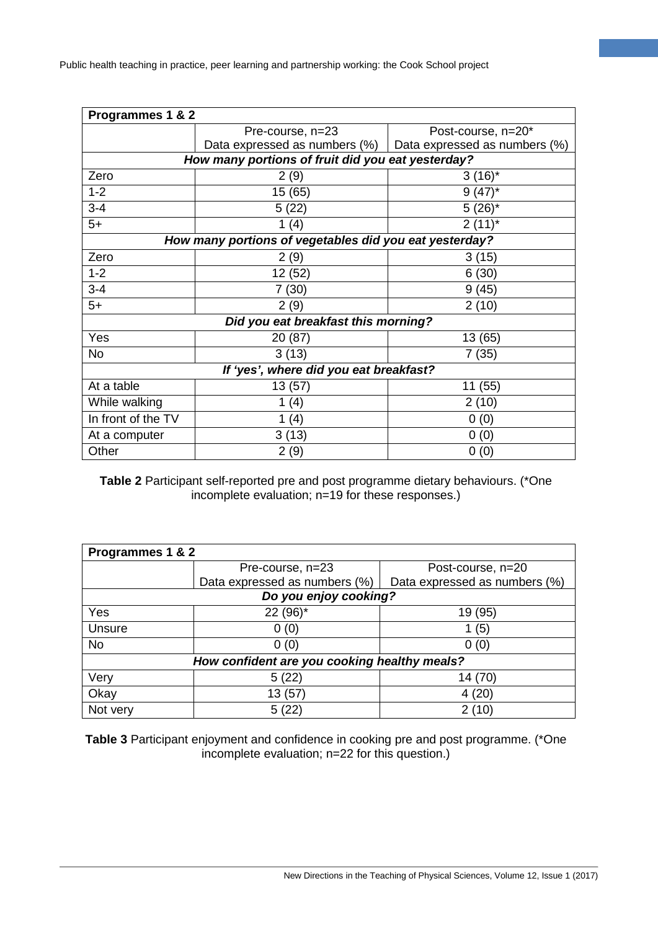| Programmes 1 & 2                                       |                                  |                               |  |  |  |
|--------------------------------------------------------|----------------------------------|-------------------------------|--|--|--|
|                                                        | Pre-course, n=23                 | Post-course, n=20*            |  |  |  |
|                                                        | Data expressed as numbers $(\%)$ | Data expressed as numbers (%) |  |  |  |
| How many portions of fruit did you eat yesterday?      |                                  |                               |  |  |  |
| Zero                                                   | 2(9)                             | $3(16)^{*}$                   |  |  |  |
| $1 - 2$                                                | 15 (65)                          | $9(47)^*$                     |  |  |  |
| $3 - 4$                                                | 5(22)                            | $5(26)^*$                     |  |  |  |
| $5+$                                                   | 1 $(4)$                          | $2(11)^{*}$                   |  |  |  |
| How many portions of vegetables did you eat yesterday? |                                  |                               |  |  |  |
| Zero                                                   | 2(9)                             | 3(15)                         |  |  |  |
| $1 - 2$                                                | 12 (52)                          | 6(30)                         |  |  |  |
| $3 - 4$                                                | 7 (30)                           | 9(45)                         |  |  |  |
| $5+$                                                   | 2(9)                             | 2(10)                         |  |  |  |
| Did you eat breakfast this morning?                    |                                  |                               |  |  |  |
| Yes                                                    | 20 (87)                          | 13 (65)                       |  |  |  |
| No                                                     | 3(13)                            | 7(35)                         |  |  |  |
| If 'yes', where did you eat breakfast?                 |                                  |                               |  |  |  |
| At a table                                             | 13 (57)                          | 11 (55)                       |  |  |  |
| While walking                                          | (4)<br>1.                        | 2(10)                         |  |  |  |
| In front of the TV                                     | (4)                              | 0(0)                          |  |  |  |
| At a computer                                          | 3(13)                            | 0(0)                          |  |  |  |
| Other                                                  | 2(9)                             | 0(0)                          |  |  |  |

**5**

**Table 2** Participant self-reported pre and post programme dietary behaviours. (\*One incomplete evaluation; n=19 for these responses.)

| Programmes 1 & 2                             |                               |                               |  |  |  |
|----------------------------------------------|-------------------------------|-------------------------------|--|--|--|
|                                              | Pre-course, n=23              | Post-course, n=20             |  |  |  |
|                                              | Data expressed as numbers (%) | Data expressed as numbers (%) |  |  |  |
| Do you enjoy cooking?                        |                               |                               |  |  |  |
| Yes                                          | 22 (96)*                      | 19 (95)                       |  |  |  |
| Unsure                                       | 0(0)                          | (5)                           |  |  |  |
| <b>No</b>                                    | 0(0)                          | 0(0)                          |  |  |  |
| How confident are you cooking healthy meals? |                               |                               |  |  |  |
| Very                                         | 5(22)                         | 14 (70)                       |  |  |  |
| Okay                                         | 13 (57)                       | 4(20)                         |  |  |  |
| Not very                                     | 5(22)                         | 2 (10)                        |  |  |  |

**Table 3** Participant enjoyment and confidence in cooking pre and post programme. (\*One incomplete evaluation; n=22 for this question.)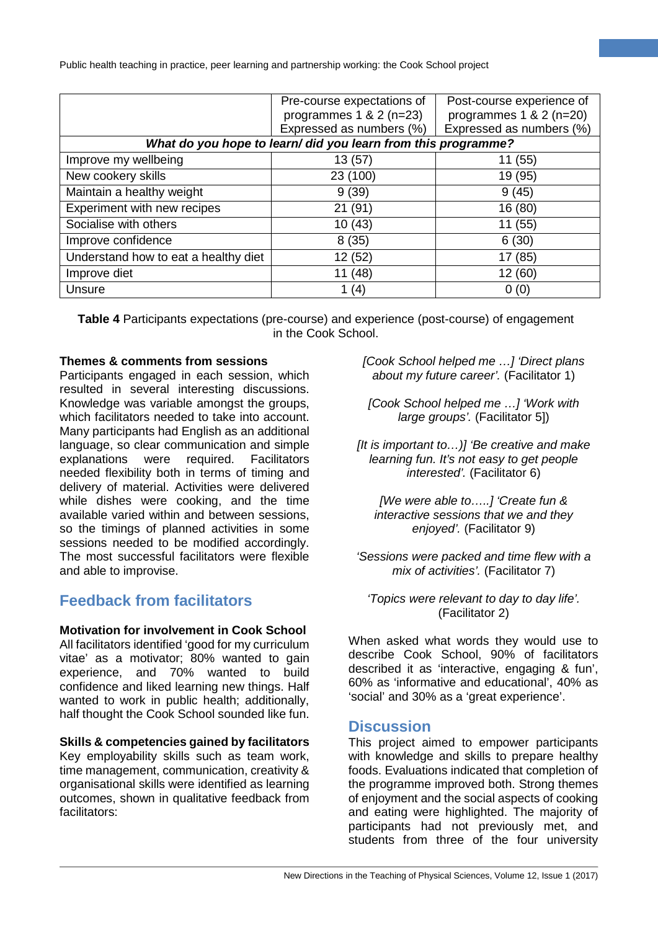|                                                               | Pre-course expectations of<br>programmes $1 & 2 (n=23)$ | Post-course experience of<br>programmes $1 & 2 (n=20)$ |  |  |  |
|---------------------------------------------------------------|---------------------------------------------------------|--------------------------------------------------------|--|--|--|
|                                                               | Expressed as numbers (%)                                | Expressed as numbers (%)                               |  |  |  |
| What do you hope to learn/ did you learn from this programme? |                                                         |                                                        |  |  |  |
| Improve my wellbeing                                          | 13(57)                                                  | 11 (55)                                                |  |  |  |
| New cookery skills                                            | 23 (100)                                                | 19 (95)                                                |  |  |  |
| Maintain a healthy weight                                     | 9(39)                                                   | 9(45)                                                  |  |  |  |
| Experiment with new recipes                                   | 21 (91)                                                 | 16 (80)                                                |  |  |  |
| Socialise with others                                         | 10(43)                                                  | 11 (55)                                                |  |  |  |
| Improve confidence                                            | 8(35)                                                   | 6(30)                                                  |  |  |  |
| Understand how to eat a healthy diet                          | 12 (52)                                                 | 17 (85)                                                |  |  |  |
| Improve diet                                                  | 11 (48)                                                 | 12 (60)                                                |  |  |  |
| Unsure                                                        | 1 $(4)$                                                 | 0(0)                                                   |  |  |  |

**Table 4** Participants expectations (pre-course) and experience (post-course) of engagement in the Cook School.

#### **Themes & comments from sessions**

Participants engaged in each session, which resulted in several interesting discussions. Knowledge was variable amongst the groups, which facilitators needed to take into account. Many participants had English as an additional language, so clear communication and simple explanations were required. Facilitators needed flexibility both in terms of timing and delivery of material. Activities were delivered while dishes were cooking, and the time available varied within and between sessions, so the timings of planned activities in some sessions needed to be modified accordingly. The most successful facilitators were flexible and able to improvise.

# **Feedback from facilitators**

# **Motivation for involvement in Cook School**

All facilitators identified 'good for my curriculum vitae' as a motivator; 80% wanted to gain experience, and 70% wanted to build confidence and liked learning new things. Half wanted to work in public health; additionally, half thought the Cook School sounded like fun.

#### **Skills & competencies gained by facilitators**

Key employability skills such as team work, time management, communication, creativity & organisational skills were identified as learning outcomes, shown in qualitative feedback from facilitators:

*[Cook School helped me …] 'Direct plans about my future career'.* (Facilitator 1)

**6**

*[Cook School helped me …] 'Work with large groups'.* (Facilitator 5])

*[It is important to…)] 'Be creative and make learning fun. It's not easy to get people interested'.* (Facilitator 6)

*[We were able to…..] 'Create fun & interactive sessions that we and they enjoyed'.* (Facilitator 9)

*'Sessions were packed and time flew with a mix of activities'.* (Facilitator 7)

*'Topics were relevant to day to day life'.*  (Facilitator 2)

When asked what words they would use to describe Cook School, 90% of facilitators described it as 'interactive, engaging & fun', 60% as 'informative and educational', 40% as 'social' and 30% as a 'great experience'.

# **Discussion**

This project aimed to empower participants with knowledge and skills to prepare healthy foods. Evaluations indicated that completion of the programme improved both. Strong themes of enjoyment and the social aspects of cooking and eating were highlighted. The majority of participants had not previously met, and students from three of the four university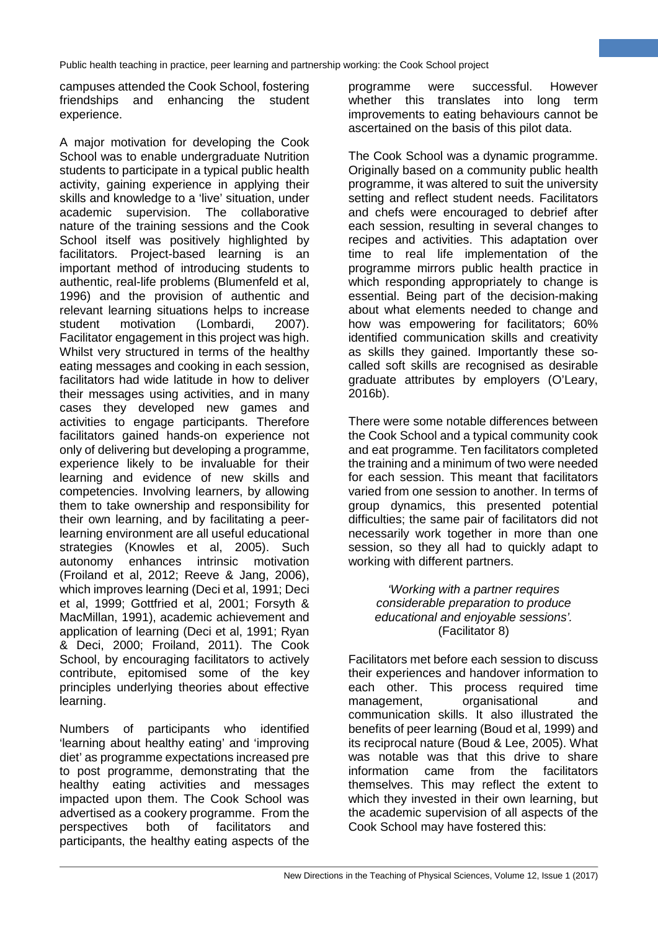campuses attended the Cook School, fostering friendships and enhancing the student experience.

A major motivation for developing the Cook School was to enable undergraduate Nutrition students to participate in a typical public health activity, gaining experience in applying their skills and knowledge to a 'live' situation, under academic supervision. The collaborative nature of the training sessions and the Cook School itself was positively highlighted by facilitators. Project-based learning is an important method of introducing students to authentic, real-life problems (Blumenfeld et al, 1996) and the provision of authentic and relevant learning situations helps to increase<br>student motivation (Lombardi. 2007). student motivation (Lombardi, 2007). Facilitator engagement in this project was high. Whilst very structured in terms of the healthy eating messages and cooking in each session, facilitators had wide latitude in how to deliver their messages using activities, and in many cases they developed new games and activities to engage participants. Therefore facilitators gained hands-on experience not only of delivering but developing a programme, experience likely to be invaluable for their learning and evidence of new skills and competencies. Involving learners, by allowing them to take ownership and responsibility for their own learning, and by facilitating a peerlearning environment are all useful educational strategies (Knowles et al, 2005). Such autonomy enhances intrinsic motivation (Froiland et al, 2012; Reeve & Jang, 2006), which improves learning (Deci et al, 1991; Deci et al, 1999; Gottfried et al, 2001; Forsyth & MacMillan, 1991), academic achievement and application of learning (Deci et al, 1991; Ryan & Deci, 2000; Froiland, 2011). The Cook School, by encouraging facilitators to actively contribute, epitomised some of the key principles underlying theories about effective learning.

Numbers of participants who identified 'learning about healthy eating' and 'improving diet' as programme expectations increased pre to post programme, demonstrating that the healthy eating activities and messages impacted upon them. The Cook School was advertised as a cookery programme. From the perspectives both of facilitators and participants, the healthy eating aspects of the programme were successful. However whether this translates into long term improvements to eating behaviours cannot be ascertained on the basis of this pilot data.

**7**

The Cook School was a dynamic programme. Originally based on a community public health programme, it was altered to suit the university setting and reflect student needs. Facilitators and chefs were encouraged to debrief after each session, resulting in several changes to recipes and activities. This adaptation over time to real life implementation of the programme mirrors public health practice in which responding appropriately to change is essential. Being part of the decision-making about what elements needed to change and how was empowering for facilitators; 60% identified communication skills and creativity as skills they gained. Importantly these socalled soft skills are recognised as desirable graduate attributes by employers (O'Leary, 2016b).

There were some notable differences between the Cook School and a typical community cook and eat programme. Ten facilitators completed the training and a minimum of two were needed for each session. This meant that facilitators varied from one session to another. In terms of group dynamics, this presented potential difficulties; the same pair of facilitators did not necessarily work together in more than one session, so they all had to quickly adapt to working with different partners.

> *'Working with a partner requires considerable preparation to produce educational and enjoyable sessions'.* (Facilitator 8)

Facilitators met before each session to discuss their experiences and handover information to each other. This process required time management, organisational and communication skills. It also illustrated the benefits of peer learning (Boud et al, 1999) and its reciprocal nature (Boud & Lee, 2005). What was notable was that this drive to share<br>information came from the facilitators information came from the facilitators themselves. This may reflect the extent to which they invested in their own learning, but the academic supervision of all aspects of the Cook School may have fostered this: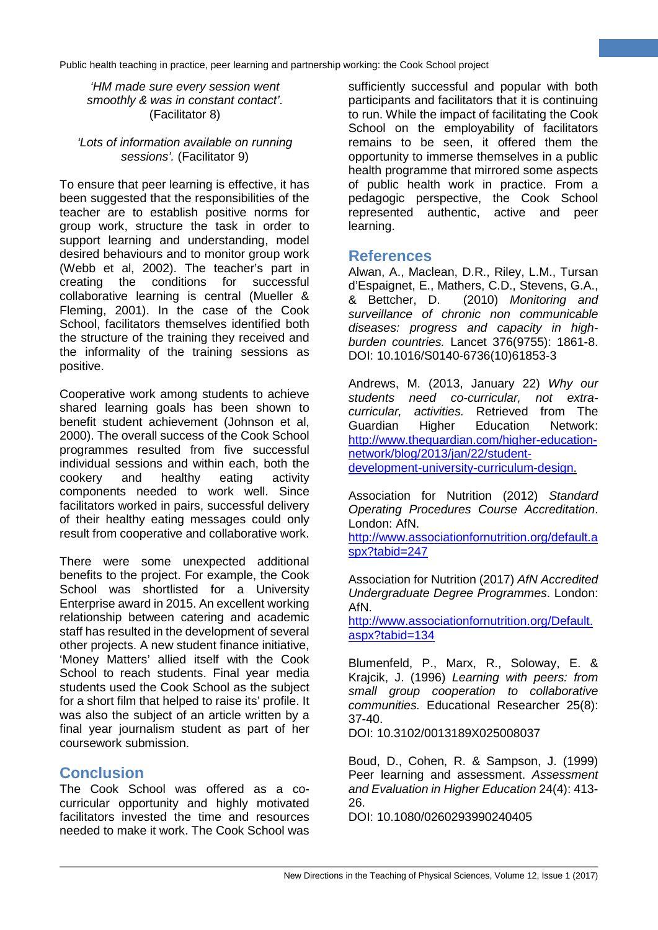*'HM made sure every session went smoothly & was in constant contact'*. (Facilitator 8)

#### *'Lots of information available on running sessions'.* (Facilitator 9)

To ensure that peer learning is effective, it has been suggested that the responsibilities of the teacher are to establish positive norms for group work, structure the task in order to support learning and understanding, model desired behaviours and to monitor group work (Webb et al, 2002). The teacher's part in creating the conditions for successful collaborative learning is central (Mueller & Fleming, 2001). In the case of the Cook School, facilitators themselves identified both the structure of the training they received and the informality of the training sessions as positive.

Cooperative work among students to achieve shared learning goals has been shown to benefit student achievement (Johnson et al, 2000). The overall success of the Cook School programmes resulted from five successful individual sessions and within each, both the cookery and healthy eating activity components needed to work well. Since facilitators worked in pairs, successful delivery of their healthy eating messages could only result from cooperative and collaborative work.

There were some unexpected additional benefits to the project. For example, the Cook School was shortlisted for a University Enterprise award in 2015. An excellent working relationship between catering and academic staff has resulted in the development of several other projects. A new student finance initiative, 'Money Matters' allied itself with the Cook School to reach students. Final year media students used the Cook School as the subject for a short film that helped to raise its' profile. It was also the subject of an article written by a final year journalism student as part of her coursework submission.

# **Conclusion**

The Cook School was offered as a cocurricular opportunity and highly motivated facilitators invested the time and resources needed to make it work. The Cook School was

sufficiently successful and popular with both participants and facilitators that it is continuing to run. While the impact of facilitating the Cook School on the employability of facilitators remains to be seen, it offered them the opportunity to immerse themselves in a public health programme that mirrored some aspects of public health work in practice. From a pedagogic perspective, the Cook School represented authentic, active and peer learning.

**8**

# **References**

Alwan, A., Maclean, D.R., Riley, L.M., Tursan d'Espaignet, E., Mathers, C.D., Stevens, G.A., & Bettcher, D. (2010) *Monitoring and surveillance of chronic non communicable diseases: progress and capacity in highburden countries.* Lancet 376(9755): 1861-8. DOI: 10.1016/S0140-6736(10)61853-3

Andrews, M. (2013, January 22) *Why our students need co-curricular, not extracurricular, activities.* Retrieved from The Guardian Higher Education Network: [http://www.theguardian.com/higher-education](http://www.theguardian.com/higher-education-network/blog/2013/jan/22/student-development-university-curriculum-design)[network/blog/2013/jan/22/student](http://www.theguardian.com/higher-education-network/blog/2013/jan/22/student-development-university-curriculum-design)[development-university-curriculum-design.](http://www.theguardian.com/higher-education-network/blog/2013/jan/22/student-development-university-curriculum-design)

Association for Nutrition (2012) *Standard Operating Procedures Course Accreditation*.

London: AfN. [http://www.associationfornutrition.org/default.a](http://www.associationfornutrition.org/default.aspx?tabid=247)

[spx?tabid=247](http://www.associationfornutrition.org/default.aspx?tabid=247)

Association for Nutrition (2017) *AfN Accredited Undergraduate Degree Programmes*. London: AfN.

[http://www.associationfornutrition.org/Default.](http://www.associationfornutrition.org/Default.aspx?tabid=134) [aspx?tabid=134](http://www.associationfornutrition.org/Default.aspx?tabid=134)

Blumenfeld, P., Marx, R., Soloway, E. & Krajcik, J. (1996) *Learning with peers: from small group cooperation to collaborative communities.* Educational Researcher 25(8): 37-40.

DOI: 10.3102/0013189X025008037

Boud, D., Cohen, R. & Sampson, J. (1999) Peer learning and assessment. *Assessment and Evaluation in Higher Education* 24(4): 413- 26.

DOI: 10.1080/0260293990240405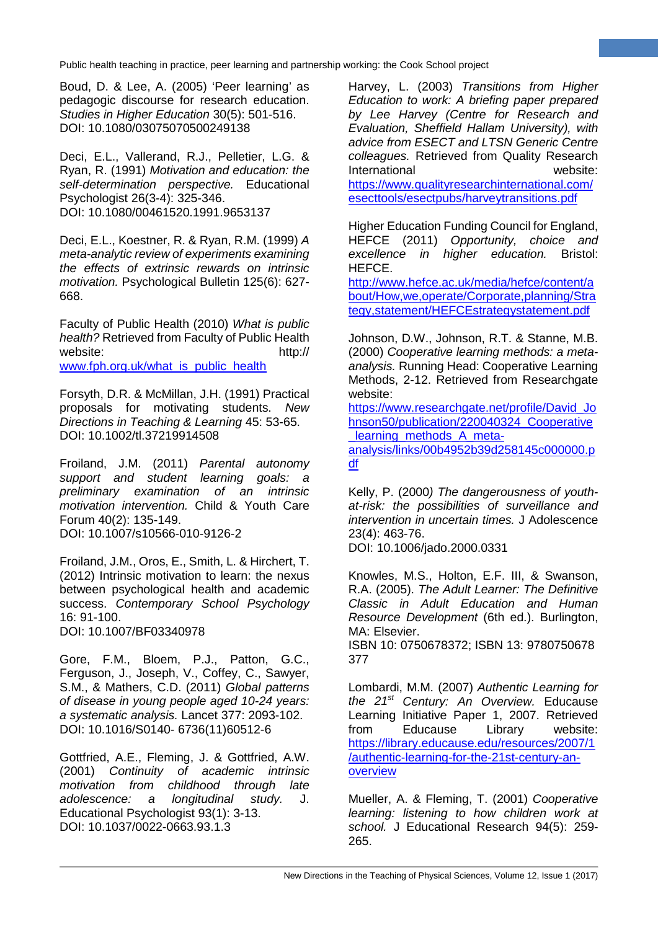Boud, D. & Lee, A. (2005) 'Peer learning' as pedagogic discourse for research education. *Studies in Higher Education* 30(5): 501-516. DOI: 10.1080/03075070500249138

Deci, E.L., Vallerand, R.J., Pelletier, L.G. & Ryan, R. (1991) *Motivation and education: the self-determination perspective.* Educational Psychologist 26(3-4): 325-346. DOI: 10.1080/00461520.1991.9653137

Deci, E.L., Koestner, R. & Ryan, R.M. (1999) *A meta-analytic review of experiments examining the effects of extrinsic rewards on intrinsic motivation.* Psychological Bulletin 125(6): 627- 668.

Faculty of Public Health (2010) *What is public health?* Retrieved from Faculty of Public Health website: http:// [www.fph.org.uk/what\\_is\\_public\\_health](http://www.fph.org.uk/what_is_public_health)

Forsyth, D.R. & McMillan, J.H. (1991) Practical proposals for motivating students. *New Directions in Teaching & Learning* 45: 53-65. DOI: 10.1002/tl.37219914508

Froiland, J.M. (2011) *Parental autonomy support and student learning goals: a preliminary examination of an intrinsic motivation intervention.* Child & Youth Care Forum 40(2): 135-149. DOI: 10.1007/s10566-010-9126-2

Froiland, J.M., Oros, E., Smith, L. & Hirchert, T. (2012) Intrinsic motivation to learn: the nexus between psychological health and academic success. *Contemporary School Psychology*  16: 91-100.

DOI: 10.1007/BF03340978

Gore, F.M., Bloem, P.J., Patton, G.C., Ferguson, J., Joseph, V., Coffey, C., Sawyer, S.M., & Mathers, C.D. (2011) *Global patterns of disease in young people aged 10-24 years: a systematic analysis.* Lancet 377: 2093-102. DOI: 10.1016/S0140- 6736(11)60512-6

Gottfried, A.E., Fleming, J. & Gottfried, A.W. (2001) *Continuity of academic intrinsic motivation from childhood through late adolescence: a longitudinal study.* J. Educational Psychologist 93(1): 3-13. DOI: 10.1037/0022-0663.93.1.3

Harvey, L. (2003) *Transitions from Higher Education to work: A briefing paper prepared by Lee Harvey (Centre for Research and Evaluation, Sheffield Hallam University), with advice from ESECT and LTSN Generic Centre colleagues.* Retrieved from Quality Research International website: [https://www.qualityresearchinternational.com/](https://www.qualityresearchinternational.com/esecttools/esectpubs/harveytransitions.pdf) [esecttools/esectpubs/harveytransitions.pdf](https://www.qualityresearchinternational.com/esecttools/esectpubs/harveytransitions.pdf)

**9**

Higher Education Funding Council for England, HEFCE (2011) *Opportunity, choice and excellence in higher education.* Bristol: HEFCE.

[http://www.hefce.ac.uk/media/hefce/content/a](http://www.hefce.ac.uk/media/hefce/content/about/How,we,operate/Corporate,planning/Strategy,statement/HEFCEstrategystatement.pdf) [bout/How,we,operate/Corporate,planning/Stra](http://www.hefce.ac.uk/media/hefce/content/about/How,we,operate/Corporate,planning/Strategy,statement/HEFCEstrategystatement.pdf) [tegy,statement/HEFCEstrategystatement.pdf](http://www.hefce.ac.uk/media/hefce/content/about/How,we,operate/Corporate,planning/Strategy,statement/HEFCEstrategystatement.pdf)

Johnson, D.W., Johnson, R.T. & Stanne, M.B. (2000) *Cooperative learning methods: a metaanalysis.* Running Head: Cooperative Learning Methods, 2-12. Retrieved from Researchgate website:

https://www.researchgate.net/profile/David Jo [hnson50/publication/220040324\\_Cooperative](https://www.researchgate.net/profile/David_Johnson50/publication/220040324_Cooperative_learning_methods_A_meta-analysis/links/00b4952b39d258145c000000.pdf) learning methods A meta[analysis/links/00b4952b39d258145c000000.p](https://www.researchgate.net/profile/David_Johnson50/publication/220040324_Cooperative_learning_methods_A_meta-analysis/links/00b4952b39d258145c000000.pdf) [df](https://www.researchgate.net/profile/David_Johnson50/publication/220040324_Cooperative_learning_methods_A_meta-analysis/links/00b4952b39d258145c000000.pdf)

Kelly, P. (2000*) The dangerousness of youthat-risk: the possibilities of surveillance and intervention in uncertain times.* J Adolescence 23(4): 463-76.

DOI: 10.1006/jado.2000.0331

Knowles, M.S., Holton, E.F. III, & Swanson, R.A. (2005). *The Adult Learner: The Definitive Classic in Adult Education and Human Resource Development* (6th ed.). Burlington, MA: Elsevier.

ISBN 10: 0750678372; ISBN 13: 9780750678 377

Lombardi, M.M. (2007) *Authentic Learning for the 21st Century: An Overview.* Educause Learning Initiative Paper 1, 2007. Retrieved from Educause Library website: [https://library.educause.edu/resources/2007/1](https://library.educause.edu/resources/2007/1/authentic-learning-for-the-21st-century-an-overview) [/authentic-learning-for-the-21st-century-an](https://library.educause.edu/resources/2007/1/authentic-learning-for-the-21st-century-an-overview)[overview](https://library.educause.edu/resources/2007/1/authentic-learning-for-the-21st-century-an-overview)

Mueller, A. & Fleming, T. (2001) *Cooperative learning: listening to how children work at school.* J Educational Research 94(5): 259- 265.